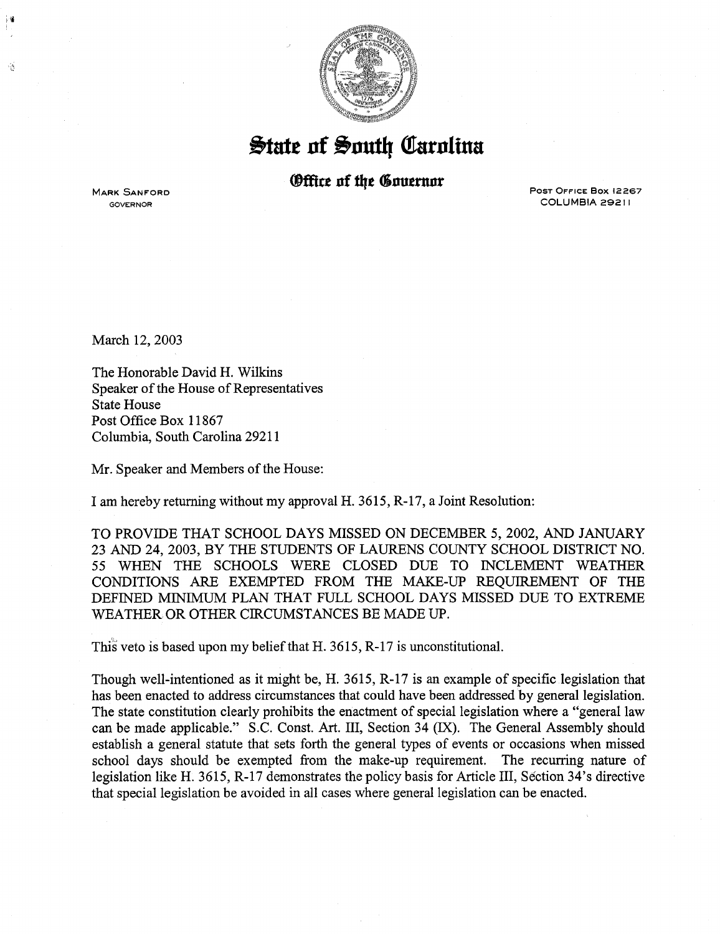

 $\frac{1}{2}$ tate of South Carolina

## *<u>®ffice</u>* of the Governor

**MARK SANFORD** GOVERNOR

Ŵ

POST OFFICE Box 12267 COLUMBIA 29211

March 12, 2003

The Honorable David H. Wilkins Speaker of the House of Representatives State House Post Office Box 11867 Columbia, South Carolina 29211

Mr. Speaker and Members of the House:

I am hereby returning without my approval H. 3615, R -17, a Joint Resolution:

TO PROVIDE THAT SCHOOL DAYS MISSED ON DECEMBER 5, 2002, AND JANUARY 23 AND 24, 2003, BY THE STUDENTS OF LAURENS COUNTY SCHOOL DISTRICT NO. 55 WHEN THE SCHOOLS WERE CLOSED DUE TO INCLEMENT WEATHER CONDITIONS ARE EXEMPTED FROM THE MAKE-UP REQUIREMENT OF THE DEFINED MINIMUM PLAN THAT FULL SCHOOL DAYS MISSED DUE TO EXTREME WEATHER OR OTHER CIRCUMSTANCES BE MADE UP.

This veto is based upon my belief that H. 3615, R-17 is unconstitutional.

Though well-intentioned as it might be, H. 3615, R-17 is an example of specific legislation that has been enacted to address circumstances that could have been addressed by general legislation. The state constitution clearly prohibits the enactment of special legislation where a "general law can be made applicable." S.C. Const. Art. III, Section 34 (IX). The General Assembly should establish a general statute that sets forth the general types of events or occasions when missed school days should be exempted from the make-up requirement. The recurring nature of legislation like H. 3615, R-17 demonstrates the policy basis for Article III, Section 34's directive that special legislation be avoided in all cases where general legislation can be enacted.